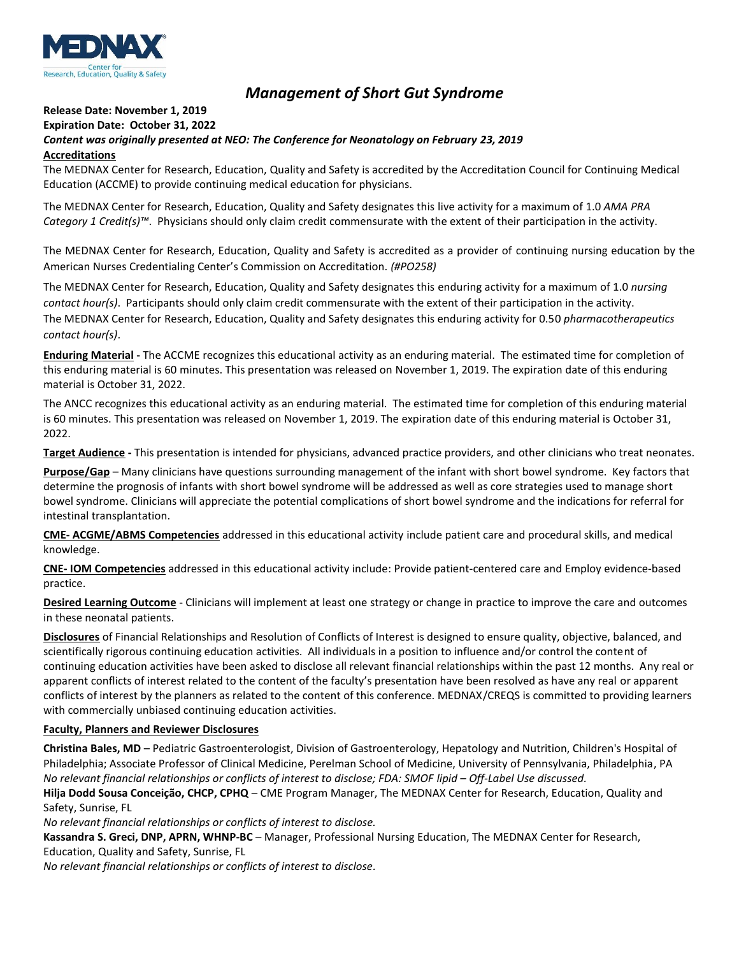

## *Management of Short Gut Syndrome*

## **Release Date: November 1, 2019 Expiration Date: October 31, 2022**

## *Content was originally presented at NEO: The Conference for Neonatology on February 23, 2019* **Accreditations**

The MEDNAX Center for Research, Education, Quality and Safety is accredited by the Accreditation Council for Continuing Medical Education (ACCME) to provide continuing medical education for physicians.

The MEDNAX Center for Research, Education, Quality and Safety designates this live activity for a maximum of 1.0 *AMA PRA Category 1 Credit(s)™*. Physicians should only claim credit commensurate with the extent of their participation in the activity.

The MEDNAX Center for Research, Education, Quality and Safety is accredited as a provider of continuing nursing education by the American Nurses Credentialing Center's Commission on Accreditation. *(#PO258)*

The MEDNAX Center for Research, Education, Quality and Safety designates this enduring activity for a maximum of 1.0 *nursing contact hour(s)*. Participants should only claim credit commensurate with the extent of their participation in the activity. The MEDNAX Center for Research, Education, Quality and Safety designates this enduring activity for 0.50 *pharmacotherapeutics contact hour(s)*.

**Enduring Material -** The ACCME recognizes this educational activity as an enduring material. The estimated time for completion of this enduring material is 60 minutes. This presentation was released on November 1, 2019. The expiration date of this enduring material is October 31, 2022.

The ANCC recognizes this educational activity as an enduring material. The estimated time for completion of this enduring material is 60 minutes. This presentation was released on November 1, 2019. The expiration date of this enduring material is October 31, 2022.

**Target Audience -** This presentation is intended for physicians, advanced practice providers, and other clinicians who treat neonates.

**Purpose/Gap** – Many clinicians have questions surrounding management of the infant with short bowel syndrome. Key factors that determine the prognosis of infants with short bowel syndrome will be addressed as well as core strategies used to manage short bowel syndrome. Clinicians will appreciate the potential complications of short bowel syndrome and the indications for referral for intestinal transplantation.

**CME- ACGME/ABMS Competencies** addressed in this educational activity include patient care and procedural skills, and medical knowledge.

**CNE- IOM Competencies** addressed in this educational activity include: Provide patient-centered care and Employ evidence-based practice.

**Desired Learning Outcome** - Clinicians will implement at least one strategy or change in practice to improve the care and outcomes in these neonatal patients.

**Disclosures** of Financial Relationships and Resolution of Conflicts of Interest is designed to ensure quality, objective, balanced, and scientifically rigorous continuing education activities. All individuals in a position to influence and/or control the content of continuing education activities have been asked to disclose all relevant financial relationships within the past 12 months. Any real or apparent conflicts of interest related to the content of the faculty's presentation have been resolved as have any real or apparent conflicts of interest by the planners as related to the content of this conference. MEDNAX/CREQS is committed to providing learners with commercially unbiased continuing education activities.

## **Faculty, Planners and Reviewer Disclosures**

**Christina Bales, MD** – Pediatric Gastroenterologist, Division of Gastroenterology, Hepatology and Nutrition, Children's Hospital of Philadelphia; Associate Professor of Clinical Medicine, Perelman School of Medicine, University of Pennsylvania, Philadelphia, PA *No relevant financial relationships or conflicts of interest to disclose; FDA: SMOF lipid – Off-Label Use discussed.*

**Hilja Dodd Sousa Conceição, CHCP, CPHQ** – CME Program Manager, The MEDNAX Center for Research, Education, Quality and Safety, Sunrise, FL

*No relevant financial relationships or conflicts of interest to disclose.*

**Kassandra S. Greci, DNP, APRN, WHNP-BC** – Manager, Professional Nursing Education, The MEDNAX Center for Research, Education, Quality and Safety, Sunrise, FL

*No relevant financial relationships or conflicts of interest to disclose.*